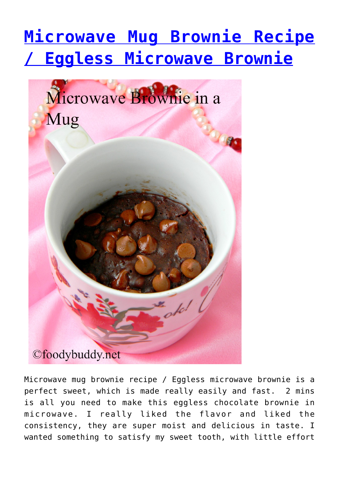## **[Microwave Mug Brownie Recipe](http://foodybuddy.net/2016/06/07/microwave-mug-brownie-recipe-eggless-microwave-brownie.html) [/ Eggless Microwave Brownie](http://foodybuddy.net/2016/06/07/microwave-mug-brownie-recipe-eggless-microwave-brownie.html)**



Microwave mug brownie recipe / Eggless microwave brownie is a perfect sweet, which is made really easily and fast. 2 mins is all you need to make this eggless chocolate brownie in microwave. I really liked the flavor and liked the consistency, they are super moist and delicious in taste. I wanted something to satisfy my sweet tooth, with little effort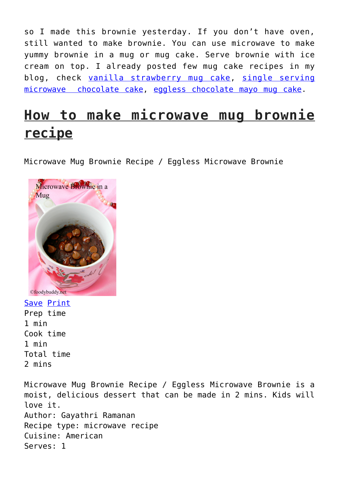so I made this brownie yesterday. If you don't have oven, still wanted to make brownie. You can use microwave to make yummy brownie in a mug or mug cake. Serve brownie with ice cream on top. I already posted few mug cake recipes in my blog, check [vanilla strawberry mug cake](http://foodybuddy.net/2015/02/14/vanilla-strawberry-mug-cake-eggless-microwave-cake-recipe.html), [single serving](http://foodybuddy.net/2013/09/14/single-serving-eggless-chocolate-cake-microwave-no-butter-chocolate-cake.html) [microwave chocolate cake,](http://foodybuddy.net/2013/09/14/single-serving-eggless-chocolate-cake-microwave-no-butter-chocolate-cake.html) [eggless chocolate mayo mug cake.](http://foodybuddy.net/2015/10/30/eggless-chocolate-mayo-mug-cake-recipe.html)

## **How to make microwave mug brownie recipe**

Microwave Mug Brownie Recipe / Eggless Microwave Brownie



Save [Print](http://foodybuddy.net/easyrecipe-print/3705-0/) Prep time 1 min Cook time 1 min Total time 2 mins

Microwave Mug Brownie Recipe / Eggless Microwave Brownie is a moist, delicious dessert that can be made in 2 mins. Kids will love it. Author: Gayathri Ramanan Recipe type: microwave recipe Cuisine: American Serves: 1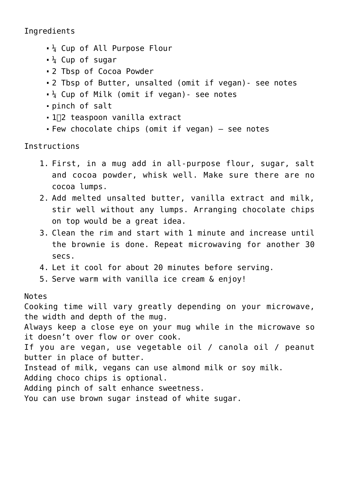Ingredients

- $\frac{1}{4}$  Cup of All Purpose Flour
- $\frac{1}{4}$  Cup of sugar
- 2 Tbsp of Cocoa Powder
- 2 Tbsp of Butter, unsalted (omit if vegan)- see notes
- $\frac{1}{4}$  Cup of Milk (omit if vegan) see notes
- pinch of salt
- 1∏2 teaspoon vanilla extract
- Few chocolate chips (omit if vegan)  $-$  see notes

Instructions

- 1. First, in a mug add in all-purpose flour, sugar, salt and cocoa powder, whisk well. Make sure there are no cocoa lumps.
- 2. Add melted unsalted butter, vanilla extract and milk, stir well without any lumps. Arranging chocolate chips on top would be a great idea.
- 3. Clean the rim and start with 1 minute and increase until the brownie is done. Repeat microwaving for another 30 secs.
- 4. Let it cool for about 20 minutes before serving.
- 5. Serve warm with vanilla ice cream & enjoy!

## Notes

Cooking time will vary greatly depending on your microwave, the width and depth of the mug.

Always keep a close eye on your mug while in the microwave so it doesn't over flow or over cook.

If you are vegan, use vegetable oil / canola oil / peanut butter in place of butter.

Instead of milk, vegans can use almond milk or soy milk.

Adding choco chips is optional.

Adding pinch of salt enhance sweetness.

You can use brown sugar instead of white sugar.